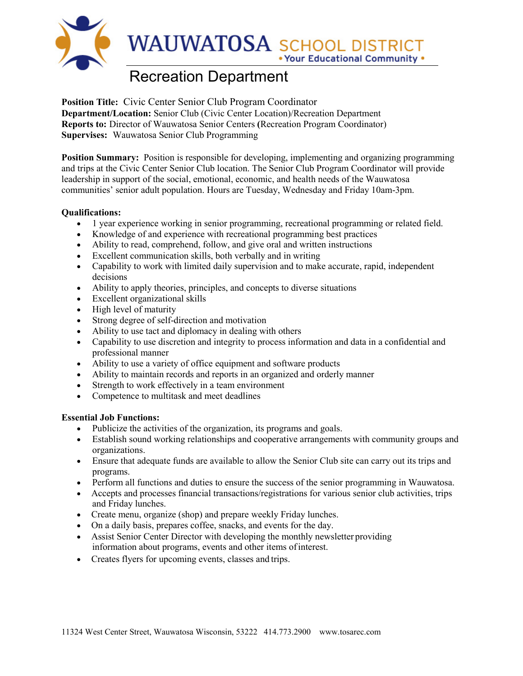

# Recreation Department

**Position Title:** Civic Center Senior Club Program Coordinator **Department/Location:** Senior Club (Civic Center Location)/Recreation Department **Reports to:** Director of Wauwatosa Senior Centers **(**Recreation Program Coordinator) **Supervises:** Wauwatosa Senior Club Programming

**Position Summary:** Position is responsible for developing, implementing and organizing programming and trips at the Civic Center Senior Club location. The Senior Club Program Coordinator will provide leadership in support of the social, emotional, economic, and health needs of the Wauwatosa communities' senior adult population. Hours are Tuesday, Wednesday and Friday 10am-3pm.

### **Qualifications:**

- 1 year experience working in senior programming, recreational programming or related field.
- Knowledge of and experience with recreational programming best practices
- Ability to read, comprehend, follow, and give oral and written instructions
- Excellent communication skills, both verbally and in writing
- Capability to work with limited daily supervision and to make accurate, rapid, independent decisions
- Ability to apply theories, principles, and concepts to diverse situations
- Excellent organizational skills
- High level of maturity
- Strong degree of self-direction and motivation
- Ability to use tact and diplomacy in dealing with others
- Capability to use discretion and integrity to process information and data in a confidential and professional manner
- Ability to use a variety of office equipment and software products
- Ability to maintain records and reports in an organized and orderly manner
- Strength to work effectively in a team environment
- Competence to multitask and meet deadlines

#### **Essential Job Functions:**

- Publicize the activities of the organization, its programs and goals.
- Establish sound working relationships and cooperative arrangements with community groups and organizations.
- Ensure that adequate funds are available to allow the Senior Club site can carry out its trips and programs.
- Perform all functions and duties to ensure the success of the senior programming in Wauwatosa.
- Accepts and processes financial transactions/registrations for various senior club activities, trips and Friday lunches.
- Create menu, organize (shop) and prepare weekly Friday lunches.
- On a daily basis, prepares coffee, snacks, and events for the day.
- Assist Senior Center Director with developing the monthly newsletter providing information about programs, events and other items ofinterest.
- Creates flyers for upcoming events, classes and trips.